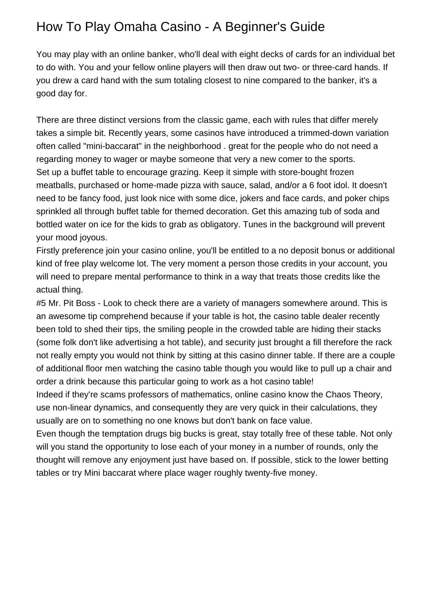## How To Play Omaha Casino - A Beginner's Guide

You may play with an online banker, who'll deal with eight decks of cards for an individual bet to do with. You and your fellow online players will then draw out two- or three-card hands. If you drew a card hand with the sum totaling closest to nine compared to the banker, it's a good day for.

There are three distinct versions from the classic game, each with rules that differ merely takes a simple bit. Recently years, some casinos have introduced a trimmed-down variation often called "mini-baccarat" in the neighborhood . great for the people who do not need a regarding money to wager or maybe someone that very a new comer to the sports. Set up a buffet table to encourage grazing. Keep it simple with store-bought frozen meatballs, purchased or home-made pizza with sauce, salad, and/or a 6 foot idol. It doesn't need to be fancy food, just look nice with some dice, jokers and face cards, and poker chips sprinkled all through buffet table for themed decoration. Get this amazing tub of soda and bottled water on ice for the kids to grab as obligatory. Tunes in the background will prevent your mood joyous.

Firstly preference join your casino online, you'll be entitled to a no deposit bonus or additional kind of free play welcome lot. The very moment a person those credits in your account, you will need to prepare mental performance to think in a way that treats those credits like the actual thing.

#5 Mr. Pit Boss - Look to check there are a variety of managers somewhere around. This is an awesome tip comprehend because if your table is hot, the casino table dealer recently been told to shed their tips, the smiling people in the crowded table are hiding their stacks (some folk don't like advertising a hot table), and security just brought a fill therefore the rack not really empty you would not think by sitting at this casino dinner table. If there are a couple of additional floor men watching the casino table though you would like to pull up a chair and order a drink because this particular going to work as a hot casino table!

Indeed if they're scams professors of mathematics, online casino know the Chaos Theory, use non-linear dynamics, and consequently they are very quick in their calculations, they usually are on to something no one knows but don't bank on face value.

Even though the temptation drugs big bucks is great, stay totally free of these table. Not only will you stand the opportunity to lose each of your money in a number of rounds, only the thought will remove any enjoyment just have based on. If possible, stick to the lower betting tables or try Mini baccarat where place wager roughly twenty-five money.